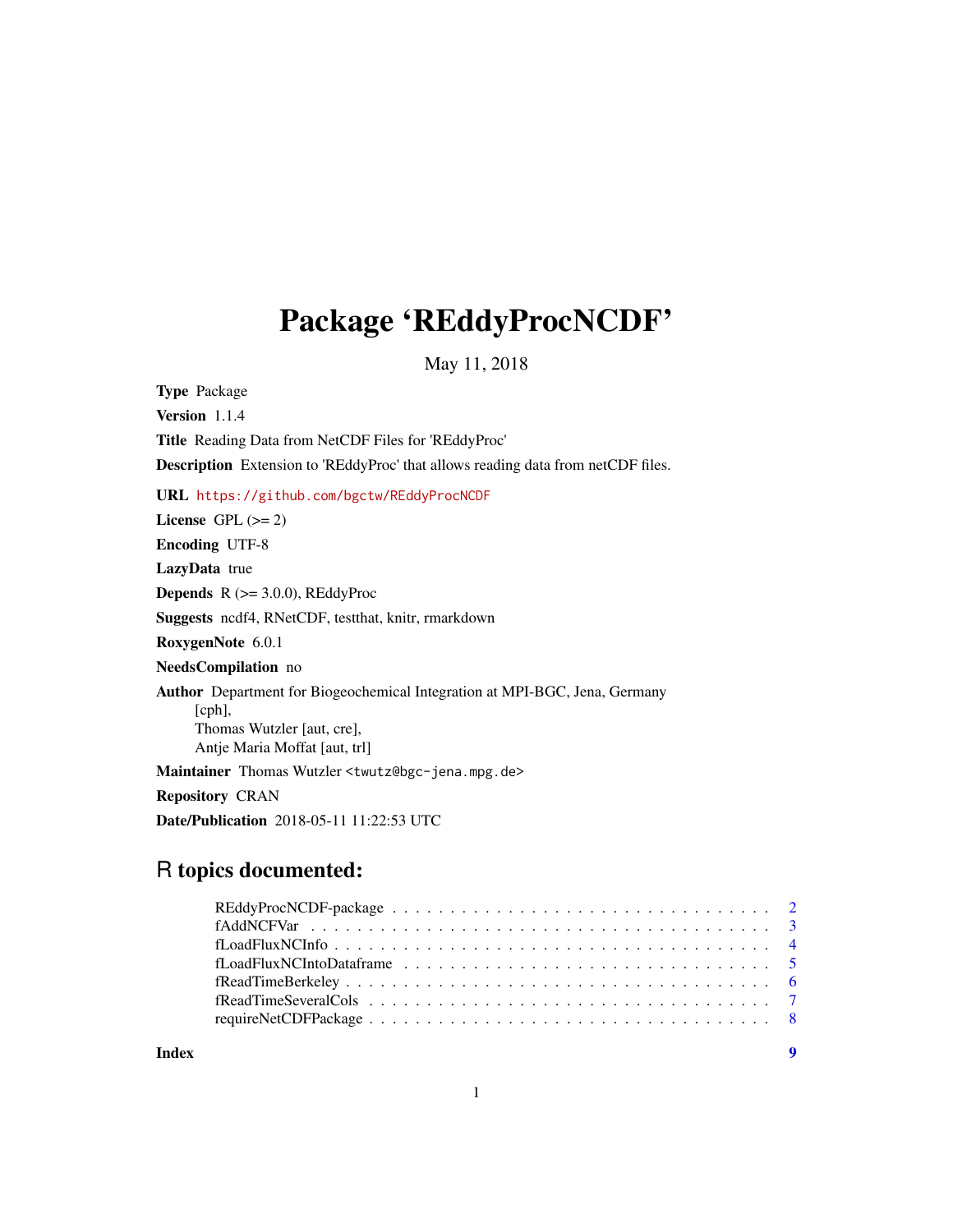## Package 'REddyProcNCDF'

May 11, 2018

Type Package Version 1.1.4 Title Reading Data from NetCDF Files for 'REddyProc' Description Extension to 'REddyProc' that allows reading data from netCDF files. URL <https://github.com/bgctw/REddyProcNCDF> License GPL  $(>= 2)$ Encoding UTF-8 LazyData true **Depends**  $R$  ( $>= 3.0.0$ ), REddyProc Suggests ncdf4, RNetCDF, testthat, knitr, rmarkdown RoxygenNote 6.0.1 NeedsCompilation no Author Department for Biogeochemical Integration at MPI-BGC, Jena, Germany [cph], Thomas Wutzler [aut, cre], Antje Maria Moffat [aut, trl] Maintainer Thomas Wutzler <twutz@bgc-jena.mpg.de> Repository CRAN

Date/Publication 2018-05-11 11:22:53 UTC

### R topics documented:

|       | $fReadTimeBerkeley \dots \dots \dots \dots \dots \dots \dots \dots \dots \dots \dots \dots \dots \dots \dots \dots$ |     |
|-------|---------------------------------------------------------------------------------------------------------------------|-----|
|       |                                                                                                                     |     |
|       |                                                                                                                     |     |
| Index |                                                                                                                     | - 9 |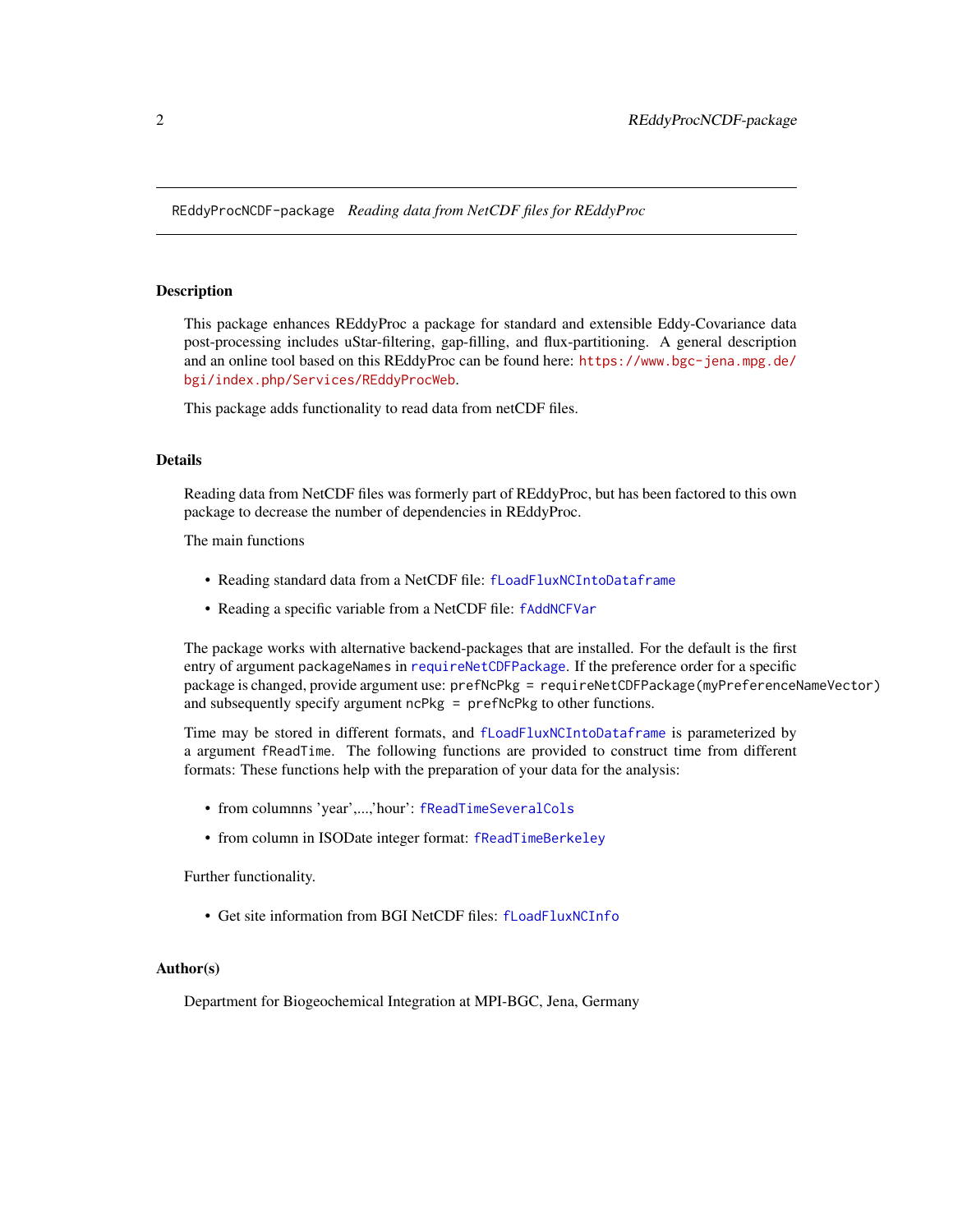<span id="page-1-0"></span>REddyProcNCDF-package *Reading data from NetCDF files for REddyProc*

#### Description

This package enhances REddyProc a package for standard and extensible Eddy-Covariance data post-processing includes uStar-filtering, gap-filling, and flux-partitioning. A general description and an online tool based on this REddyProc can be found here: [https://www.bgc-jena.mpg.de/](https://www.bgc-jena.mpg.de/bgi/index.php/Services/REddyProcWeb) [bgi/index.php/Services/REddyProcWeb](https://www.bgc-jena.mpg.de/bgi/index.php/Services/REddyProcWeb).

This package adds functionality to read data from netCDF files.

#### Details

Reading data from NetCDF files was formerly part of REddyProc, but has been factored to this own package to decrease the number of dependencies in REddyProc.

The main functions

- Reading standard data from a NetCDF file: [fLoadFluxNCIntoDataframe](#page-4-1)
- Reading a specific variable from a NetCDF file: [fAddNCFVar](#page-2-1)

The package works with alternative backend-packages that are installed. For the default is the first entry of argument packageNames in [requireNetCDFPackage](#page-7-1). If the preference order for a specific package is changed, provide argument use: prefNcPkg = requireNetCDFPackage(myPreferenceNameVector) and subsequently specify argument ncPkg = prefNcPkg to other functions.

Time may be stored in different formats, and [fLoadFluxNCIntoDataframe](#page-4-1) is parameterized by a argument fReadTime. The following functions are provided to construct time from different formats: These functions help with the preparation of your data for the analysis:

- from columnns 'year',...,'hour': [fReadTimeSeveralCols](#page-6-1)
- from column in ISODate integer format: [fReadTimeBerkeley](#page-5-1)

Further functionality.

• Get site information from BGI NetCDF files: [fLoadFluxNCInfo](#page-3-1)

#### Author(s)

Department for Biogeochemical Integration at MPI-BGC, Jena, Germany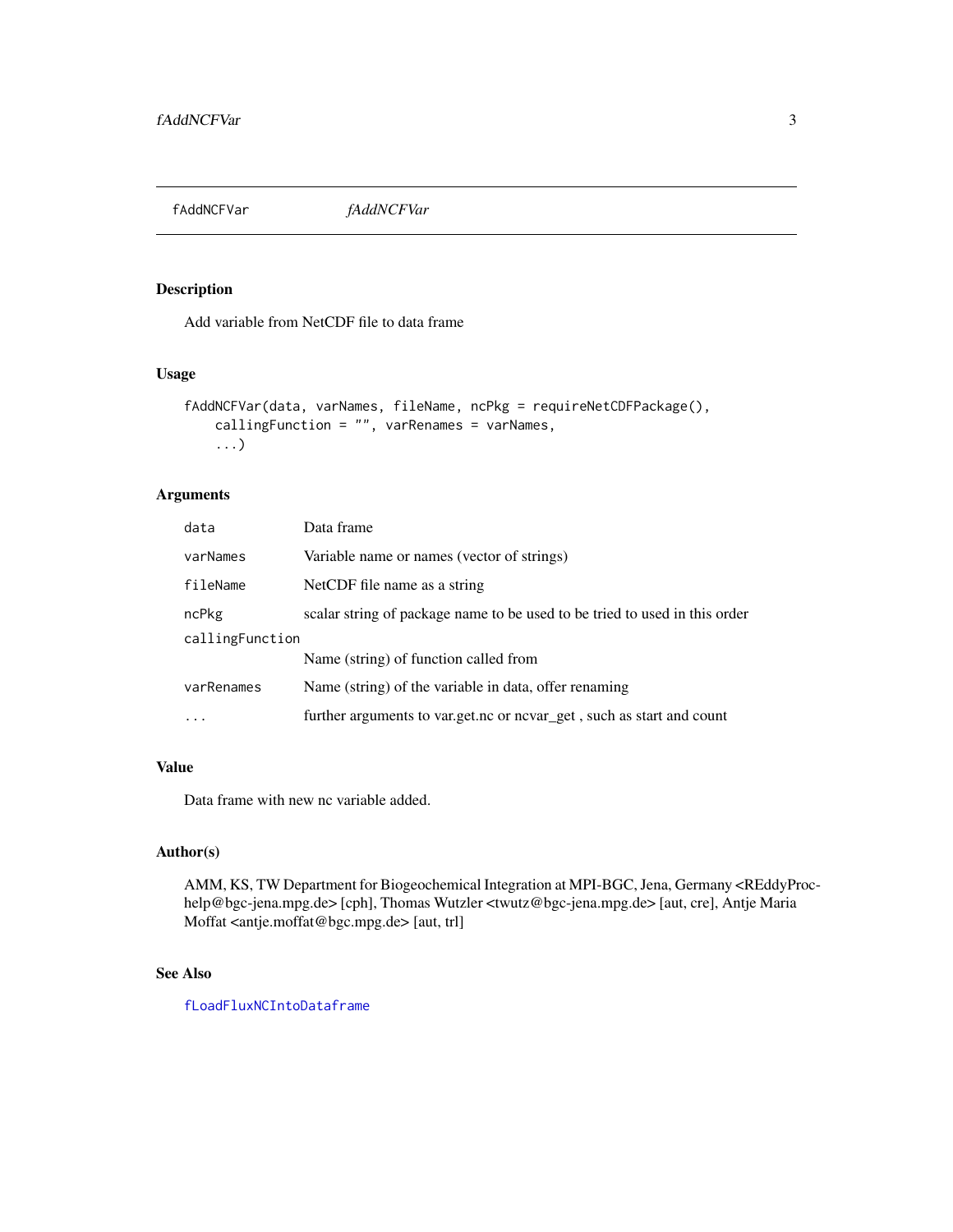<span id="page-2-1"></span><span id="page-2-0"></span>fAddNCFVar *fAddNCFVar*

#### Description

Add variable from NetCDF file to data frame

#### Usage

```
fAddNCFVar(data, varNames, fileName, ncPkg = requireNetCDFPackage(),
    callingFunction = "", varRenames = varNames,
    ...)
```
#### Arguments

| data            | Data frame                                                                 |  |
|-----------------|----------------------------------------------------------------------------|--|
| varNames        | Variable name or names (vector of strings)                                 |  |
| fileName        | NetCDF file name as a string                                               |  |
| ncPkg           | scalar string of package name to be used to be tried to used in this order |  |
| callingFunction |                                                                            |  |
|                 | Name (string) of function called from                                      |  |
| varRenames      | Name (string) of the variable in data, offer renaming                      |  |
| $\ddotsc$       | further arguments to var.get.nc or nevar_get, such as start and count      |  |
|                 |                                                                            |  |

#### Value

Data frame with new nc variable added.

#### Author(s)

AMM, KS, TW Department for Biogeochemical Integration at MPI-BGC, Jena, Germany <REddyProchelp@bgc-jena.mpg.de> [cph], Thomas Wutzler <twutz@bgc-jena.mpg.de> [aut, cre], Antje Maria Moffat <antje.moffat@bgc.mpg.de> [aut, trl]

#### See Also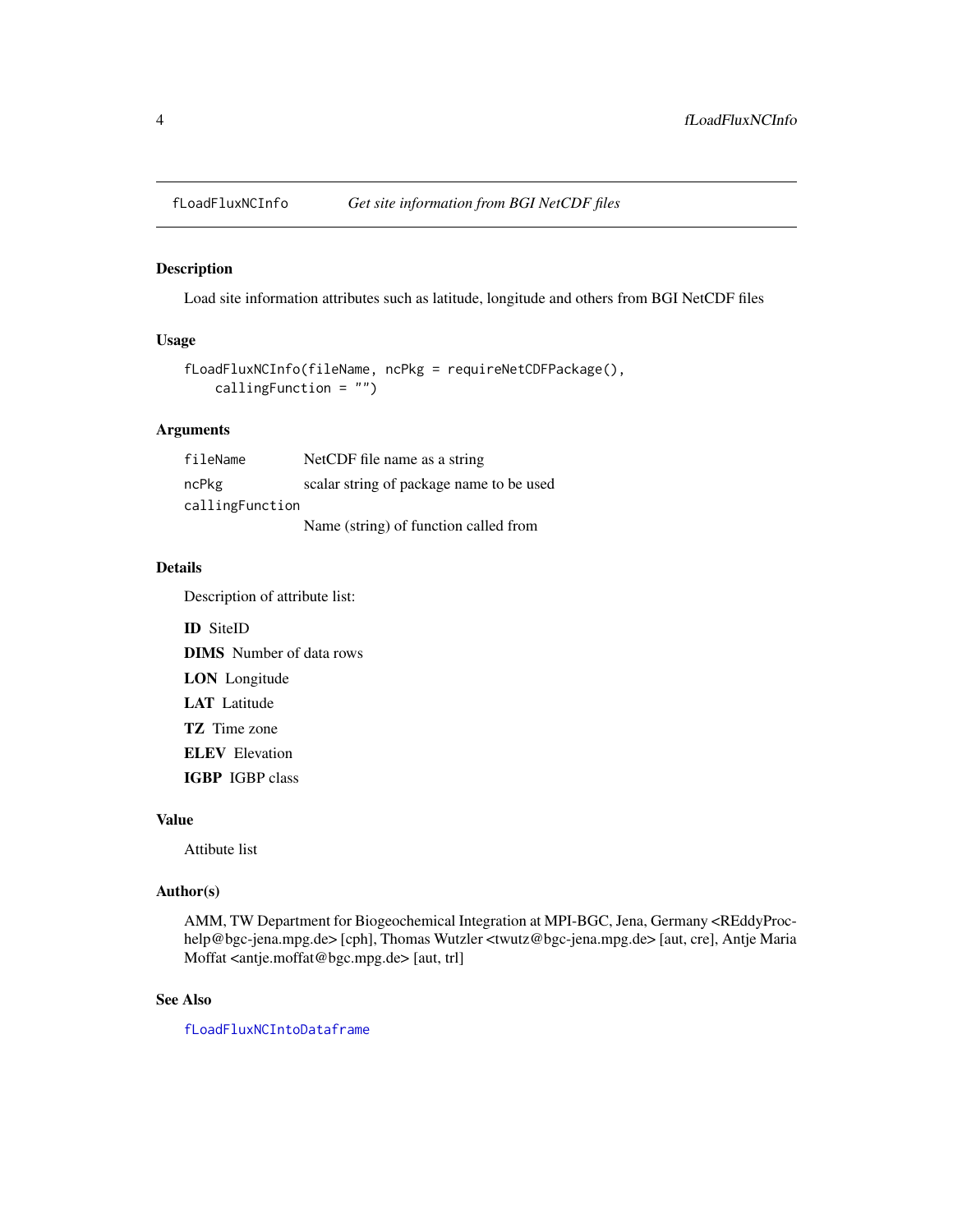<span id="page-3-1"></span><span id="page-3-0"></span>

#### Description

Load site information attributes such as latitude, longitude and others from BGI NetCDF files

#### Usage

```
fLoadFluxNCInfo(fileName, ncPkg = requireNetCDFPackage(),
   callingFunction = "")
```
#### Arguments

| fileName        | NetCDF file name as a string             |  |  |  |
|-----------------|------------------------------------------|--|--|--|
| ncPkg           | scalar string of package name to be used |  |  |  |
| callingFunction |                                          |  |  |  |
|                 | Name (string) of function called from    |  |  |  |

#### Details

Description of attribute list:

ID SiteID DIMS Number of data rows LON Longitude LAT Latitude TZ Time zone ELEV Elevation IGBP IGBP class

#### Value

Attibute list

#### Author(s)

AMM, TW Department for Biogeochemical Integration at MPI-BGC, Jena, Germany <REddyProchelp@bgc-jena.mpg.de> [cph], Thomas Wutzler <twutz@bgc-jena.mpg.de> [aut, cre], Antje Maria Moffat <antje.moffat@bgc.mpg.de> [aut, trl]

#### See Also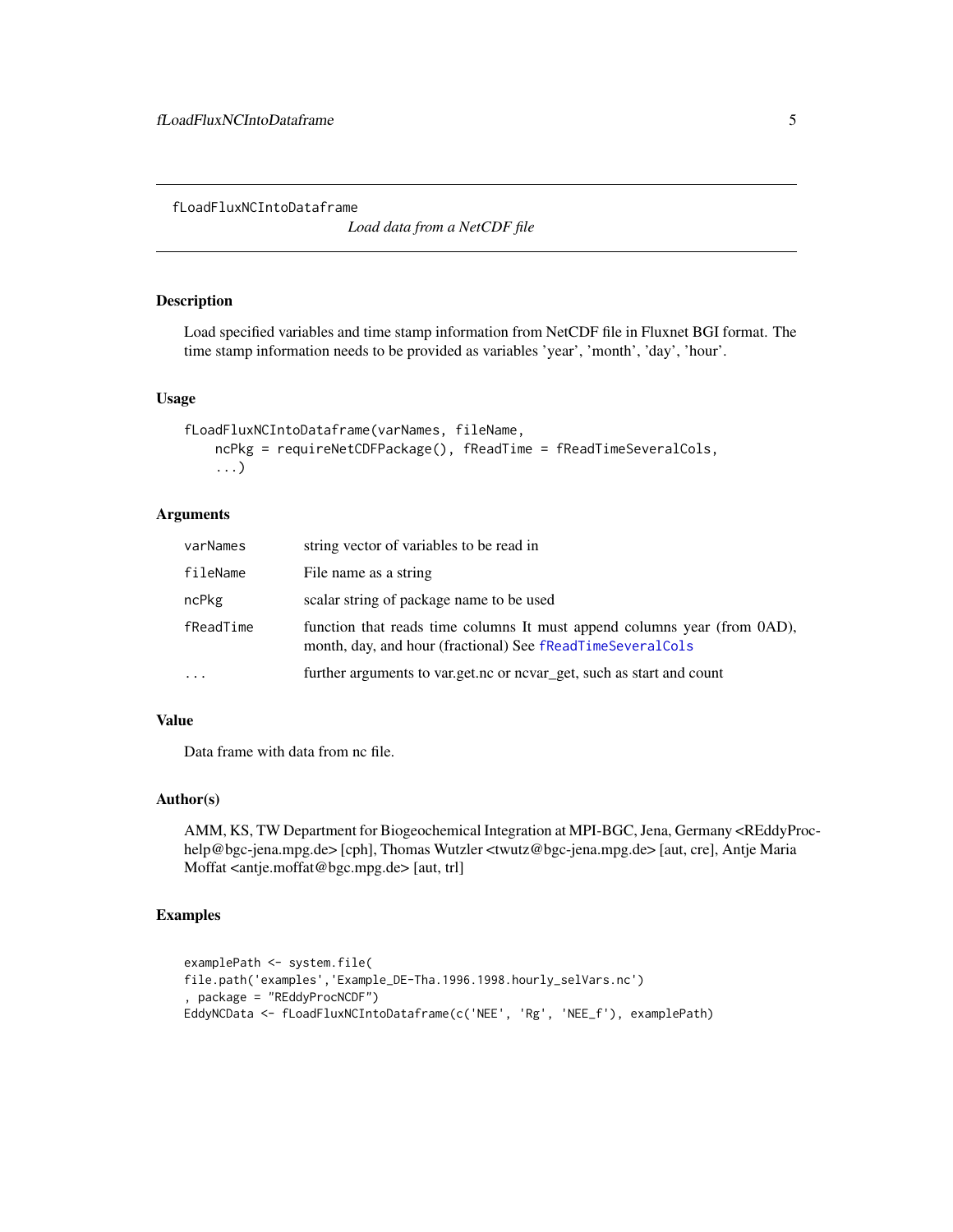<span id="page-4-1"></span><span id="page-4-0"></span>fLoadFluxNCIntoDataframe

*Load data from a NetCDF file*

#### Description

Load specified variables and time stamp information from NetCDF file in Fluxnet BGI format. The time stamp information needs to be provided as variables 'year', 'month', 'day', 'hour'.

#### Usage

```
fLoadFluxNCIntoDataframe(varNames, fileName,
   ncPkg = requireNetCDFPackage(), fReadTime = fReadTimeSeveralCols,
    ...)
```
#### Arguments

| varNames  | string vector of variables to be read in                                                                                               |
|-----------|----------------------------------------------------------------------------------------------------------------------------------------|
| fileName  | File name as a string                                                                                                                  |
| ncPkg     | scalar string of package name to be used                                                                                               |
| fReadTime | function that reads time columns It must append columns year (from 0AD),<br>month, day, and hour (fractional) See fReadTimeSeveralCols |
| .         | further arguments to var.get.nc or nevar_get, such as start and count                                                                  |

#### Value

Data frame with data from nc file.

#### Author(s)

AMM, KS, TW Department for Biogeochemical Integration at MPI-BGC, Jena, Germany <REddyProchelp@bgc-jena.mpg.de> [cph], Thomas Wutzler <twutz@bgc-jena.mpg.de> [aut, cre], Antje Maria Moffat <antje.moffat@bgc.mpg.de> [aut, trl]

#### Examples

```
examplePath <- system.file(
file.path('examples','Example_DE-Tha.1996.1998.hourly_selVars.nc')
, package = "REddyProcNCDF")
EddyNCData <- fLoadFluxNCIntoDataframe(c('NEE', 'Rg', 'NEE_f'), examplePath)
```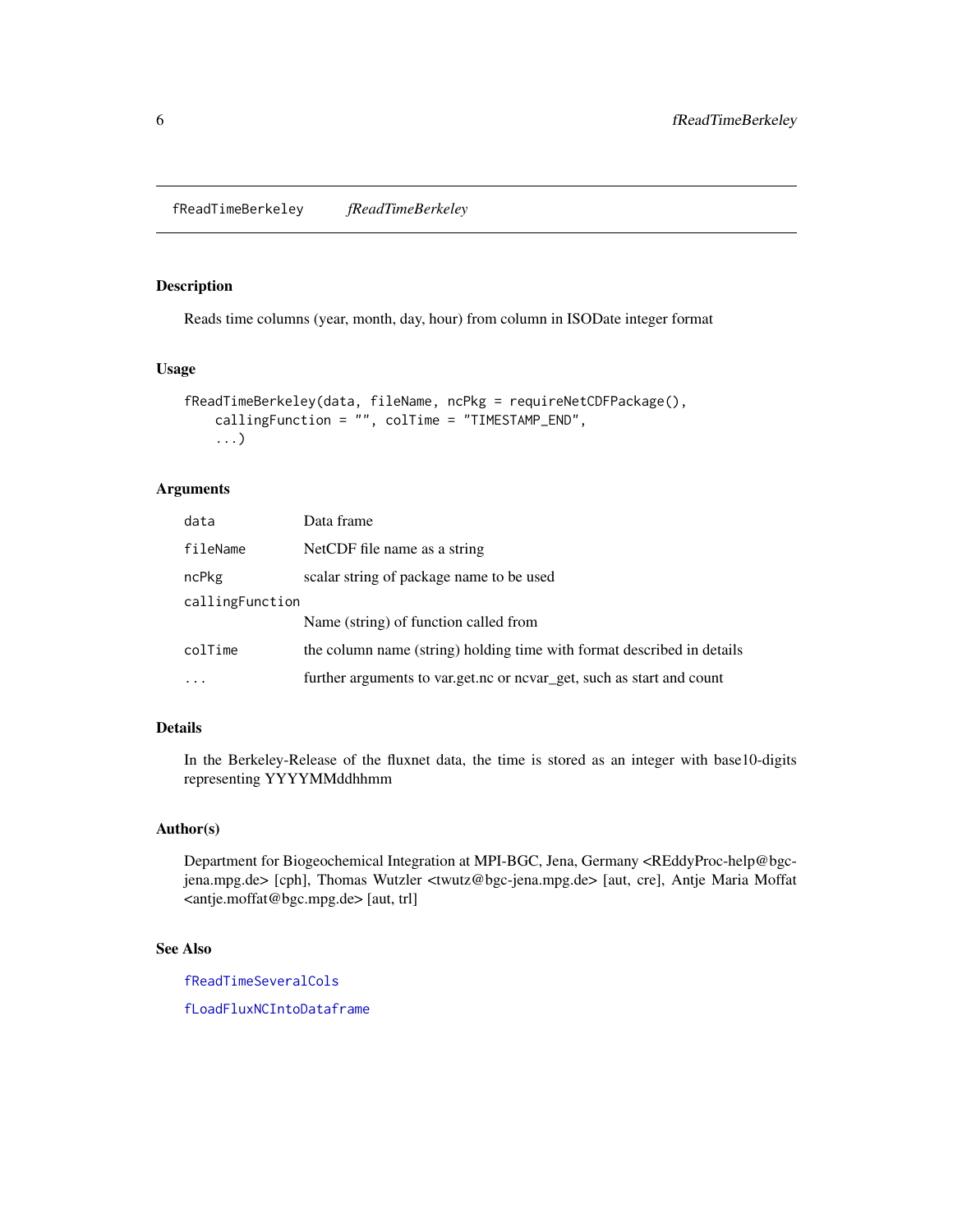<span id="page-5-1"></span><span id="page-5-0"></span>fReadTimeBerkeley *fReadTimeBerkeley*

#### Description

Reads time columns (year, month, day, hour) from column in ISODate integer format

#### Usage

```
fReadTimeBerkeley(data, fileName, ncPkg = requireNetCDFPackage(),
   callingFunction = "", colTime = "TIMESTAMP_END",
    ...)
```
#### Arguments

| data            | Data frame                                                             |  |
|-----------------|------------------------------------------------------------------------|--|
| fileName        | NetCDF file name as a string                                           |  |
| ncPkg           | scalar string of package name to be used                               |  |
| callingFunction |                                                                        |  |
|                 | Name (string) of function called from                                  |  |
| colTime         | the column name (string) holding time with format described in details |  |
| $\ddots$ .      | further arguments to var.get.nc or nevar_get, such as start and count  |  |

#### Details

In the Berkeley-Release of the fluxnet data, the time is stored as an integer with base10-digits representing YYYYMMddhhmm

#### Author(s)

Department for Biogeochemical Integration at MPI-BGC, Jena, Germany <REddyProc-help@bgcjena.mpg.de> [cph], Thomas Wutzler <twutz@bgc-jena.mpg.de> [aut, cre], Antje Maria Moffat <antje.moffat@bgc.mpg.de> [aut, trl]

#### See Also

[fReadTimeSeveralCols](#page-6-1)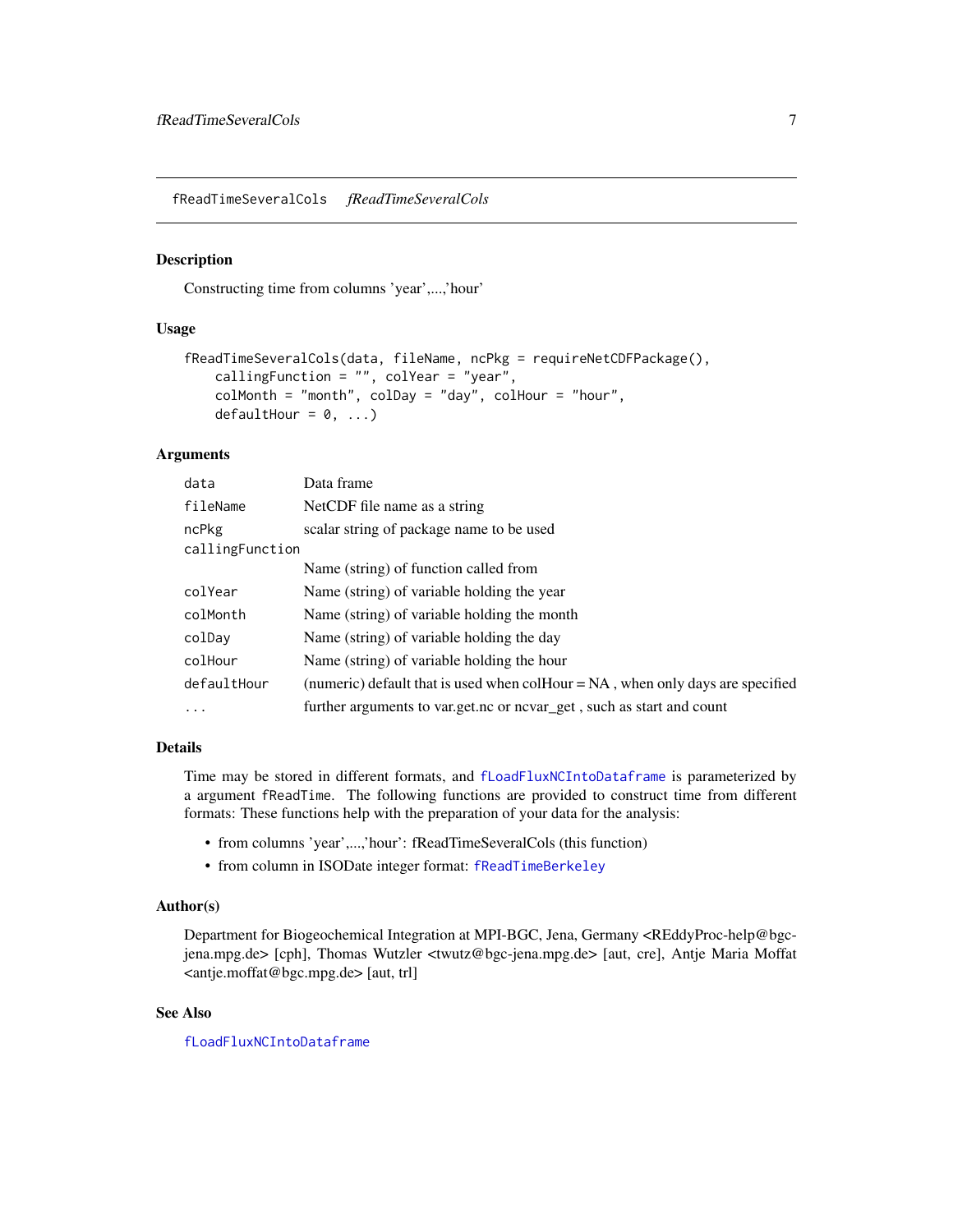<span id="page-6-1"></span><span id="page-6-0"></span>fReadTimeSeveralCols *fReadTimeSeveralCols*

#### Description

Constructing time from columns 'year',...,'hour'

#### Usage

```
fReadTimeSeveralCols(data, fileName, ncPkg = requireNetCDFPackage(),
   callingFunction = ", colYear = "year",
   colMonth = "month", colDay = "day", colHour = "hour",
   defaulthour = 0, ...
```
#### Arguments

| data            | Data frame                                                                        |  |  |
|-----------------|-----------------------------------------------------------------------------------|--|--|
| fileName        | NetCDF file name as a string                                                      |  |  |
| ncPkg           | scalar string of package name to be used                                          |  |  |
| callingFunction |                                                                                   |  |  |
|                 | Name (string) of function called from                                             |  |  |
| colYear         | Name (string) of variable holding the year                                        |  |  |
| colMonth        | Name (string) of variable holding the month                                       |  |  |
| colDay          | Name (string) of variable holding the day                                         |  |  |
| colHour         | Name (string) of variable holding the hour                                        |  |  |
| defaultHour     | (numeric) default that is used when colHour $= NA$ , when only days are specified |  |  |
| $\cdots$        | further arguments to var.get.nc or nevar_get, such as start and count             |  |  |

#### Details

Time may be stored in different formats, and [fLoadFluxNCIntoDataframe](#page-4-1) is parameterized by a argument fReadTime. The following functions are provided to construct time from different formats: These functions help with the preparation of your data for the analysis:

- from columns 'year',...,'hour': fReadTimeSeveralCols (this function)
- from column in ISODate integer format: [fReadTimeBerkeley](#page-5-1)

#### Author(s)

Department for Biogeochemical Integration at MPI-BGC, Jena, Germany <REddyProc-help@bgcjena.mpg.de> [cph], Thomas Wutzler <twutz@bgc-jena.mpg.de> [aut, cre], Antje Maria Moffat <antje.moffat@bgc.mpg.de> [aut, trl]

#### See Also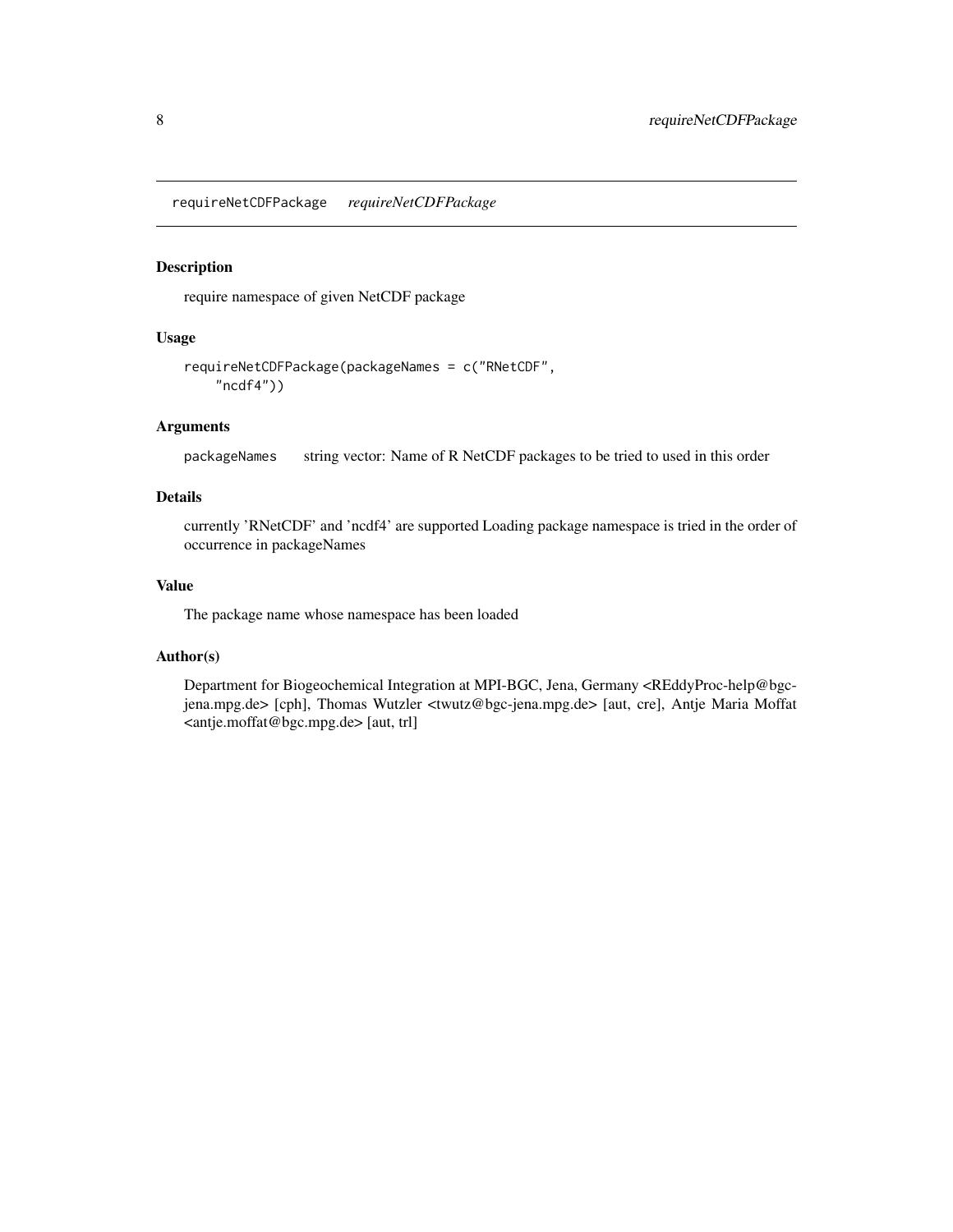<span id="page-7-1"></span><span id="page-7-0"></span>requireNetCDFPackage *requireNetCDFPackage*

#### Description

require namespace of given NetCDF package

#### Usage

```
requireNetCDFPackage(packageNames = c("RNetCDF",
    "ncdf4"))
```
#### Arguments

packageNames string vector: Name of R NetCDF packages to be tried to used in this order

#### Details

currently 'RNetCDF' and 'ncdf4' are supported Loading package namespace is tried in the order of occurrence in packageNames

#### Value

The package name whose namespace has been loaded

#### Author(s)

Department for Biogeochemical Integration at MPI-BGC, Jena, Germany <REddyProc-help@bgcjena.mpg.de> [cph], Thomas Wutzler <twutz@bgc-jena.mpg.de> [aut, cre], Antje Maria Moffat <antje.moffat@bgc.mpg.de> [aut, trl]